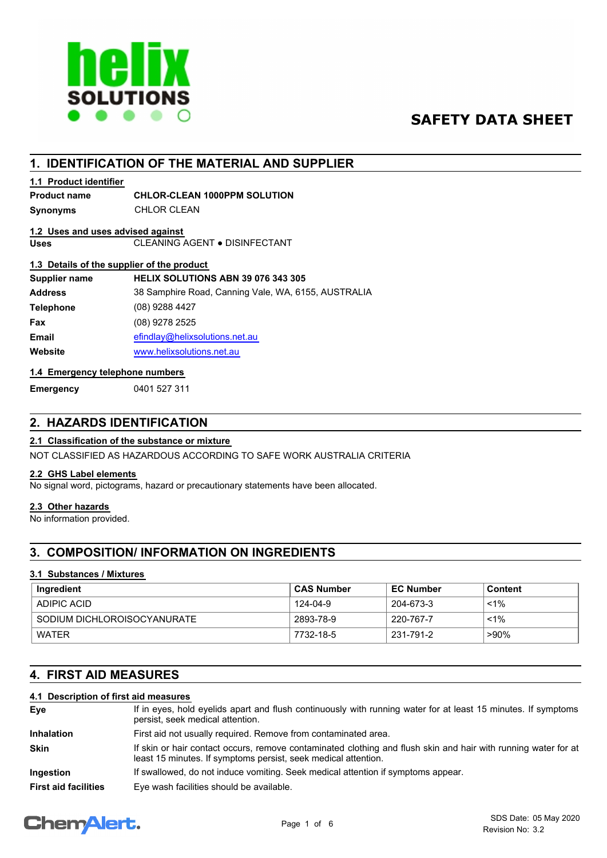

# **SAFETY DATA SHEET**

# **1. IDENTIFICATION OF THE MATERIAL AND SUPPLIER**

## **1.1 Product identifier**

## **Product name CHLOR-CLEAN 1000PPM SOLUTION**

**Synonyms** CHLOR CLEAN

# **1.2 Uses and uses advised against**

**Uses** CLEANING AGENT ● DISINFECTANT

## **1.3 Details of the supplier of the product**

| <b>HELIX SOLUTIONS ABN 39 076 343 305</b>           |
|-----------------------------------------------------|
| 38 Samphire Road, Canning Vale, WA, 6155, AUSTRALIA |
| (08) 9288 4427                                      |
| (08) 9278 2525                                      |
| efindlay@helixsolutions.net.au                      |
| www.helixsolutions.net.au                           |
|                                                     |

## **1.4 Emergency telephone numbers**

**Emergency** 0401 527 311

# **2. HAZARDS IDENTIFICATION**

## **2.1 Classification of the substance or mixture**

NOT CLASSIFIED AS HAZARDOUS ACCORDING TO SAFE WORK AUSTRALIA CRITERIA

## **2.2 GHS Label elements**

No signal word, pictograms, hazard or precautionary statements have been allocated.

#### **2.3 Other hazards**

No information provided.

# **3. COMPOSITION/ INFORMATION ON INGREDIENTS**

#### **3.1 Substances / Mixtures**

| Ingredient                  | ∣ CAS Number | <b>EC Number</b> | Content |
|-----------------------------|--------------|------------------|---------|
| ADIPIC ACID                 | 124-04-9     | 204-673-3        | $< 1\%$ |
| SODIUM DICHLOROISOCYANURATE | 2893-78-9    | . 220-767-7      | $< 1\%$ |
| <b>WATER</b>                | 7732-18-5    | 231-791-2        | >90%    |

# **4. FIRST AID MEASURES**

## **4.1 Description of first aid measures**

| Eye                         | If in eyes, hold eyelids apart and flush continuously with running water for at least 15 minutes. If symptoms<br>persist, seek medical attention.                                |  |  |
|-----------------------------|----------------------------------------------------------------------------------------------------------------------------------------------------------------------------------|--|--|
| <b>Inhalation</b>           | First aid not usually required. Remove from contaminated area.                                                                                                                   |  |  |
| <b>Skin</b>                 | If skin or hair contact occurs, remove contaminated clothing and flush skin and hair with running water for at<br>least 15 minutes. If symptoms persist, seek medical attention. |  |  |
| <b>Ingestion</b>            | If swallowed, do not induce vomiting. Seek medical attention if symptoms appear.                                                                                                 |  |  |
| <b>First aid facilities</b> | Eye wash facilities should be available.                                                                                                                                         |  |  |

# **ChemAlert.**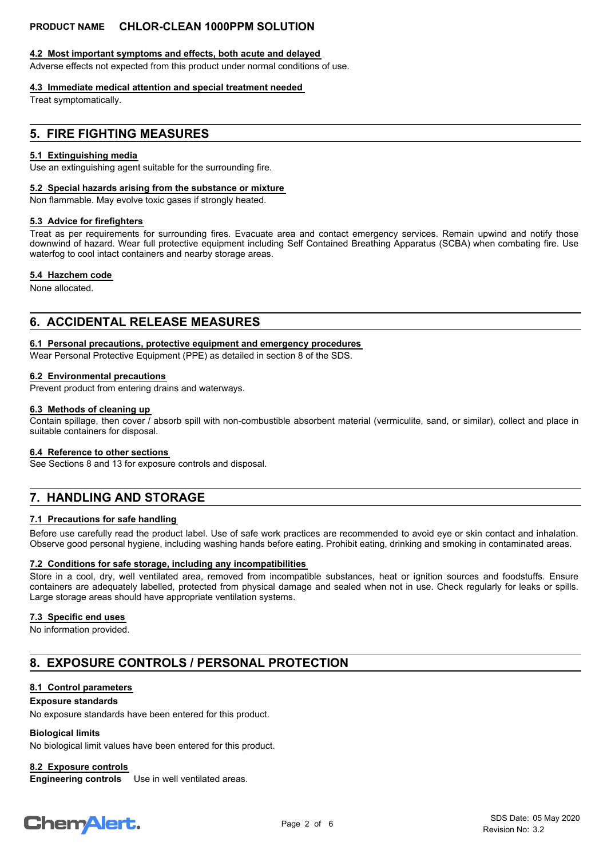#### **4.2 Most important symptoms and effects, both acute and delayed**

Adverse effects not expected from this product under normal conditions of use.

#### **4.3 Immediate medical attention and special treatment needed**

Treat symptomatically.

## **5. FIRE FIGHTING MEASURES**

#### **5.1 Extinguishing media**

Use an extinguishing agent suitable for the surrounding fire.

#### **5.2 Special hazards arising from the substance or mixture**

Non flammable. May evolve toxic gases if strongly heated.

#### **5.3 Advice for firefighters**

Treat as per requirements for surrounding fires. Evacuate area and contact emergency services. Remain upwind and notify those downwind of hazard. Wear full protective equipment including Self Contained Breathing Apparatus (SCBA) when combating fire. Use waterfog to cool intact containers and nearby storage areas.

#### **5.4 Hazchem code**

None allocated.

## **6. ACCIDENTAL RELEASE MEASURES**

#### **6.1 Personal precautions, protective equipment and emergency procedures**

Wear Personal Protective Equipment (PPE) as detailed in section 8 of the SDS.

#### **6.2 Environmental precautions**

Prevent product from entering drains and waterways.

#### **6.3 Methods of cleaning up**

Contain spillage, then cover / absorb spill with non-combustible absorbent material (vermiculite, sand, or similar), collect and place in suitable containers for disposal.

#### **6.4 Reference to other sections**

See Sections 8 and 13 for exposure controls and disposal.

# **7. HANDLING AND STORAGE**

#### **7.1 Precautions for safe handling**

Before use carefully read the product label. Use of safe work practices are recommended to avoid eye or skin contact and inhalation. Observe good personal hygiene, including washing hands before eating. Prohibit eating, drinking and smoking in contaminated areas.

#### **7.2 Conditions for safe storage, including any incompatibilities**

Store in a cool, dry, well ventilated area, removed from incompatible substances, heat or ignition sources and foodstuffs. Ensure containers are adequately labelled, protected from physical damage and sealed when not in use. Check regularly for leaks or spills. Large storage areas should have appropriate ventilation systems.

#### **7.3 Specific end uses**

No information provided.

# **8. EXPOSURE CONTROLS / PERSONAL PROTECTION**

#### **8.1 Control parameters**

#### **Exposure standards**

No exposure standards have been entered for this product.

#### **Biological limits**

No biological limit values have been entered for this product.

**8.2 Exposure controls**

**Engineering controls** Use in well ventilated areas.

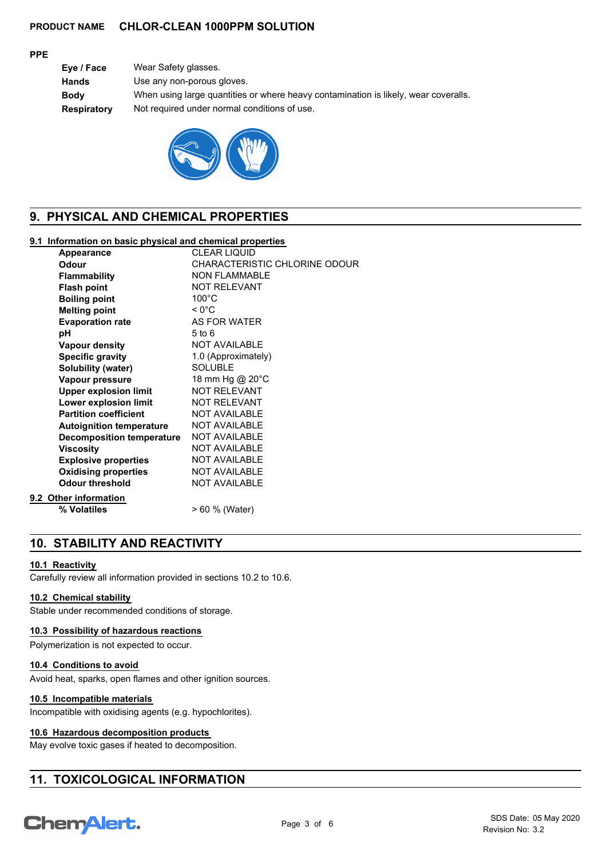#### **PPE**

| Eye / Face   | Wear Safety glasses.                                                                |
|--------------|-------------------------------------------------------------------------------------|
| <b>Hands</b> | Use any non-porous gloves.                                                          |
| <b>Body</b>  | When using large quantities or where heavy contamination is likely, wear coveralls. |
| Respiratory  | Not required under normal conditions of use.                                        |
|              |                                                                                     |



# **9. PHYSICAL AND CHEMICAL PROPERTIES**

## **9.1 Information on basic physical and chemical properties**

| Appearance                       | <b>CLEAR LIQUID</b>           |
|----------------------------------|-------------------------------|
| Odour                            | CHARACTERISTIC CHLORINE ODOUR |
| <b>Flammability</b>              | <b>NON FLAMMABLE</b>          |
| <b>Flash point</b>               | <b>NOT RELEVANT</b>           |
| <b>Boiling point</b>             | $100^{\circ}$ C               |
| <b>Melting point</b>             | $< 0^{\circ}$ C               |
| <b>Evaporation rate</b>          | AS FOR WATER                  |
| рH                               | $5$ to $6$                    |
| <b>Vapour density</b>            | NOT AVAILABLE                 |
| <b>Specific gravity</b>          | 1.0 (Approximately)           |
| Solubility (water)               | <b>SOLUBLE</b>                |
| Vapour pressure                  | 18 mm Hg @ 20°C               |
| <b>Upper explosion limit</b>     | <b>NOT RELEVANT</b>           |
| Lower explosion limit            | <b>NOT RELEVANT</b>           |
| <b>Partition coefficient</b>     | <b>NOT AVAILABLE</b>          |
| <b>Autoignition temperature</b>  | <b>NOT AVAILABLE</b>          |
| <b>Decomposition temperature</b> | <b>NOT AVAILABLE</b>          |
| <b>Viscosity</b>                 | <b>NOT AVAILABLE</b>          |
| <b>Explosive properties</b>      | NOT AVAILABLE                 |
| <b>Oxidising properties</b>      | <b>NOT AVAILABLE</b>          |
| <b>Odour threshold</b>           | <b>NOT AVAILABLE</b>          |
| Other information                |                               |
| % Volatiles                      | > 60 % (Water)                |
|                                  |                               |

# **10. STABILITY AND REACTIVITY**

#### **10.1 Reactivity**

**9.2** 

Carefully review all information provided in sections 10.2 to 10.6.

#### **10.2 Chemical stability**

Stable under recommended conditions of storage.

#### **10.3 Possibility of hazardous reactions**

Polymerization is not expected to occur.

#### **10.4 Conditions to avoid**

Avoid heat, sparks, open flames and other ignition sources.

## **10.5 Incompatible materials**

Incompatible with oxidising agents (e.g. hypochlorites).

## **10.6 Hazardous decomposition products**

May evolve toxic gases if heated to decomposition.

# **11. TOXICOLOGICAL INFORMATION**

# **Chemalert.**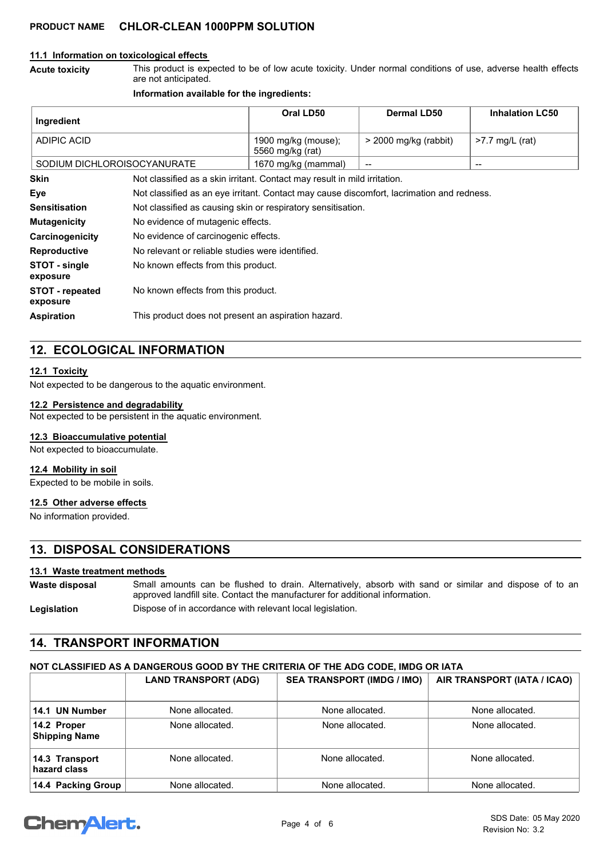#### **11.1 Information on toxicological effects**

This product is expected to be of low acute toxicity. Under normal conditions of use, adverse health effects are not anticipated. **Acute toxicity**

#### **Information available for the ingredients:**

| Ingredient                         |                                                                                           | Oral LD50                               | <b>Dermal LD50</b>      | <b>Inhalation LC50</b>                         |
|------------------------------------|-------------------------------------------------------------------------------------------|-----------------------------------------|-------------------------|------------------------------------------------|
| <b>ADIPIC ACID</b>                 |                                                                                           | 1900 mg/kg (mouse);<br>5560 mg/kg (rat) | $>$ 2000 mg/kg (rabbit) | $>7.7$ mg/L (rat)                              |
| SODIUM DICHLOROISOCYANURATE        |                                                                                           | 1670 mg/kg (mammal)                     | --                      | $\hspace{0.1mm}-\hspace{0.1mm}-\hspace{0.1mm}$ |
| Skin                               | Not classified as a skin irritant. Contact may result in mild irritation.                 |                                         |                         |                                                |
| Eye                                | Not classified as an eye irritant. Contact may cause discomfort, lacrimation and redness. |                                         |                         |                                                |
| <b>Sensitisation</b>               | Not classified as causing skin or respiratory sensitisation.                              |                                         |                         |                                                |
| <b>Mutagenicity</b>                | No evidence of mutagenic effects.                                                         |                                         |                         |                                                |
| Carcinogenicity                    | No evidence of carcinogenic effects.                                                      |                                         |                         |                                                |
| <b>Reproductive</b>                | No relevant or reliable studies were identified.                                          |                                         |                         |                                                |
| STOT - single<br>exposure          | No known effects from this product.                                                       |                                         |                         |                                                |
| <b>STOT</b> - repeated<br>exposure | No known effects from this product.                                                       |                                         |                         |                                                |
| <b>Aspiration</b>                  | This product does not present an aspiration hazard.                                       |                                         |                         |                                                |

# **12. ECOLOGICAL INFORMATION**

#### **12.1 Toxicity**

Not expected to be dangerous to the aquatic environment.

#### **12.2 Persistence and degradability**

Not expected to be persistent in the aquatic environment.

#### **12.3 Bioaccumulative potential**

Not expected to bioaccumulate.

#### **12.4 Mobility in soil**

Expected to be mobile in soils.

#### **12.5 Other adverse effects**

No information provided.

# **13. DISPOSAL CONSIDERATIONS**

#### **13.1 Waste treatment methods**

Small amounts can be flushed to drain. Alternatively, absorb with sand or similar and dispose of to an approved landfill site. Contact the manufacturer for additional information. **Waste disposal**

**Legislation** Dispose of in accordance with relevant local legislation.

# **14. TRANSPORT INFORMATION**

## **NOT CLASSIFIED AS A DANGEROUS GOOD BY THE CRITERIA OF THE ADG CODE, IMDG OR IATA**

|                                     | <b>LAND TRANSPORT (ADG)</b> | <b>SEA TRANSPORT (IMDG / IMO)</b> | AIR TRANSPORT (IATA / ICAO) |
|-------------------------------------|-----------------------------|-----------------------------------|-----------------------------|
| 14.1 UN Number                      | None allocated.             | None allocated.                   | None allocated.             |
| 14.2 Proper<br><b>Shipping Name</b> | None allocated.             | None allocated.                   | None allocated.             |
| 14.3 Transport<br>hazard class      | None allocated.             | None allocated.                   | None allocated.             |
| 14.4 Packing Group                  | None allocated.             | None allocated.                   | None allocated.             |

# **ChemAlert.**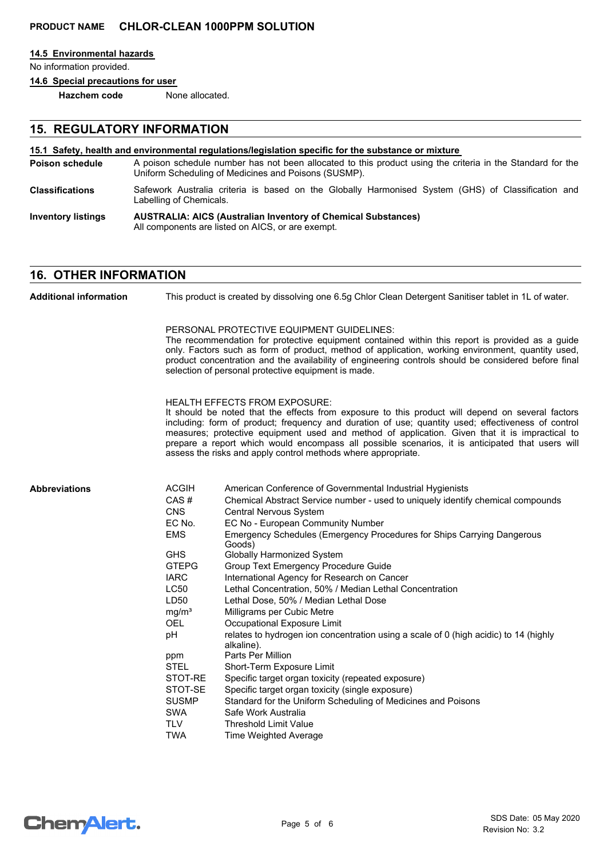#### **14.5 Environmental hazards**

No information provided.

**14.6 Special precautions for user**

**Hazchem code** None allocated.

# **15. REGULATORY INFORMATION**

#### **15.1 Safety, health and environmental regulations/legislation specific for the substance or mixture**

- A poison schedule number has not been allocated to this product using the criteria in the Standard for the Uniform Scheduling of Medicines and Poisons (SUSMP). **Poison schedule** Safework Australia criteria is based on the Globally Harmonised System (GHS) of Classification and Labelling of Chemicals. **Classifications**
- **AUSTRALIA: AICS (Australian Inventory of Chemical Substances)** All components are listed on AICS, or are exempt. **Inventory listings**

## **16. OTHER INFORMATION**

This product is created by dissolving one 6.5g Chlor Clean Detergent Sanitiser tablet in 1L of water. PERSONAL PROTECTIVE EQUIPMENT GUIDELINES: The recommendation for protective equipment contained within this report is provided as a guide only. Factors such as form of product, method of application, working environment, quantity used, product concentration and the availability of engineering controls should be considered before final selection of personal protective equipment is made. HEALTH EFFECTS FROM EXPOSURE: It should be noted that the effects from exposure to this product will depend on several factors including: form of product; frequency and duration of use; quantity used; effectiveness of control measures; protective equipment used and method of application. Given that it is impractical to prepare a report which would encompass all possible scenarios, it is anticipated that users will assess the risks and apply control methods where appropriate. ACGIH American Conference of Governmental Industrial Hygienists CAS # Chemical Abstract Service number - used to uniquely identify chemical compounds CNS Central Nervous System EC No. EC No - European Community Number EMS Emergency Schedules (Emergency Procedures for Ships Carrying Dangerous Goods) GHS Globally Harmonized System GTEPG Group Text Emergency Procedure Guide IARC International Agency for Research on Cancer LC50 Lethal Concentration, 50% / Median Lethal Concentration LD50 Lethal Dose, 50% / Median Lethal Dose mg/m<sup>3</sup> Milligrams per Cubic Metre OEL Occupational Exposure Limit pH relates to hydrogen ion concentration using a scale of 0 (high acidic) to 14 (highly alkaline). ppm Parts Per Million STEL Short-Term Exposure Limit STOT-RE Specific target organ toxicity (repeated exposure) STOT-SE Specific target organ toxicity (single exposure) SUSMP Standard for the Uniform Scheduling of Medicines and Poisons SWA Safe Work Australia TLV Threshold Limit Value TWA Time Weighted Average **Abbreviations Additional information**